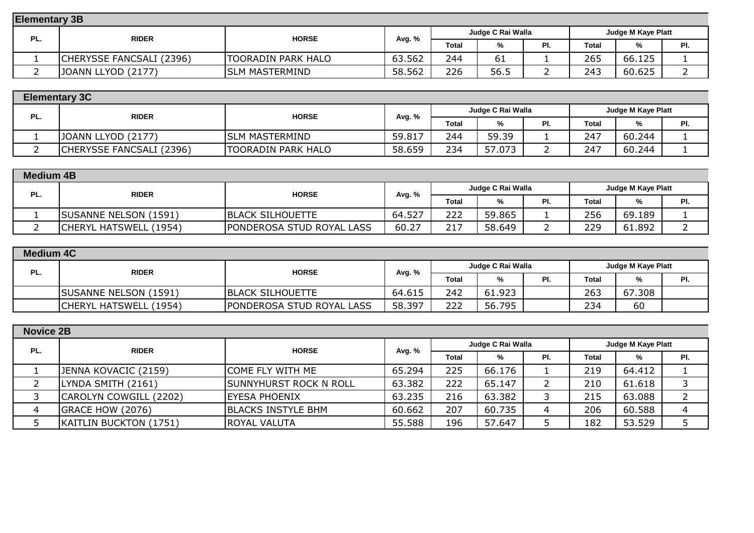| <b>Elementary 3B</b> |                              |                       |                                                |       |      |     |       |        |     |  |
|----------------------|------------------------------|-----------------------|------------------------------------------------|-------|------|-----|-------|--------|-----|--|
|                      | <b>RIDER</b><br><b>HORSE</b> | Avg. %                | Judge C Rai Walla<br><b>Judge M Kaye Platt</b> |       |      |     |       |        |     |  |
| PL.                  |                              |                       |                                                | Total | %    | PI. | Total | %      | PI. |  |
|                      | CHERYSSE FANCSALI (2396)     | TOORADIN PARK HALO    | 63.562                                         | 244   | 61   |     | 265   | 66.125 |     |  |
|                      | JOANN LLYOD (2177)           | <b>SLM MASTERMIND</b> | 58.562                                         | 226   | 56.5 |     | 243   | 60.625 |     |  |

|     | <b>Elementary 3C</b>         |                           |                                         |       |        |     |              |        |     |  |  |
|-----|------------------------------|---------------------------|-----------------------------------------|-------|--------|-----|--------------|--------|-----|--|--|
| PL. | <b>RIDER</b><br><b>HORSE</b> | Avg. %                    | Judge C Rai Walla<br>Judge M Kaye Platt |       |        |     |              |        |     |  |  |
|     |                              |                           |                                         | Total | %      | PI. | <b>Total</b> | %      | PI. |  |  |
|     | JOANN LLYOD (2177)           | <b>ISLM MASTERMIND</b>    | 59.817                                  | 244   | 59.39  |     | 247          | 60.244 |     |  |  |
|     | CHERYSSE FANCSALI (2396)     | <b>TOORADIN PARK HALO</b> | 58.659                                  | 234   | 57.073 |     | 247          | 60.244 |     |  |  |

|     | <b>Medium 4B</b>             |                                  |                                         |       |        |     |              |        |     |  |  |
|-----|------------------------------|----------------------------------|-----------------------------------------|-------|--------|-----|--------------|--------|-----|--|--|
| PL. | <b>RIDER</b><br><b>HORSE</b> |                                  | Judge C Rai Walla<br>Judge M Kaye Platt |       |        |     |              |        |     |  |  |
|     |                              |                                  | Avg. %                                  | Total | %      | PI. | <b>Total</b> | %      | PI. |  |  |
|     | <b>SUSANNE NELSON (1591)</b> | <b>IBLACK SILHOUETTE</b>         | 64.527                                  | 222   | 59.865 |     | 256          | 69.189 |     |  |  |
|     | CHERYL HATSWELL (1954)       | <b>PONDEROSA STUD ROYAL LASS</b> | 60.27                                   | 217   | 58.649 |     | 229          | 61.892 |     |  |  |

|     | <b>Medium 4C</b>             |                                  |                   |                    |        |     |              |        |     |  |  |
|-----|------------------------------|----------------------------------|-------------------|--------------------|--------|-----|--------------|--------|-----|--|--|
| PL. | <b>RIDER</b><br><b>HORSE</b> | Avg. %                           | Judge C Rai Walla | Judge M Kaye Platt |        |     |              |        |     |  |  |
|     |                              |                                  |                   | Total              | %      | PI. | <b>Total</b> | %      | PI. |  |  |
|     | <b>SUSANNE NELSON (1591)</b> | <b>BLACK SILHOUETTE</b>          | 64.615            | 242                | 61.923 |     | 263          | 67.308 |     |  |  |
|     | CHERYL HATSWELL (1954)       | <b>PONDEROSA STUD ROYAL LASS</b> | 58.397            | 222                | 56.795 |     | 234          | 60     |     |  |  |

| <b>Novice 2B</b> |                        |                               |        |       |                   |     |                    |        |     |  |
|------------------|------------------------|-------------------------------|--------|-------|-------------------|-----|--------------------|--------|-----|--|
| PL.              | <b>RIDER</b>           | <b>HORSE</b>                  | Avg. % |       | Judge C Rai Walla |     | Judge M Kaye Platt |        |     |  |
|                  |                        |                               |        | Total | %                 | PI. | <b>Total</b>       | %      | PI. |  |
|                  | JENNA KOVACIC (2159)   | <b>COME FLY WITH ME</b>       | 65.294 | 225   | 66.176            |     | 219                | 64.412 |     |  |
|                  | LYNDA SMITH (2161)     | <b>SUNNYHURST ROCK N ROLL</b> | 63.382 | 222   | 65.147            |     | 210                | 61.618 | 3   |  |
|                  | CAROLYN COWGILL (2202) | <b>IEYESA PHOENIX</b>         | 63.235 | 216   | 63.382            |     | 215                | 63.088 | っ   |  |
|                  | GRACE HOW (2076)       | <b>BLACKS INSTYLE BHM</b>     | 60.662 | 207   | 60.735            |     | 206                | 60.588 |     |  |
|                  | KAITLIN BUCKTON (1751) | <b>ROYAL VALUTA</b>           | 55.588 | 196   | 57.647            |     | 182                | 53.529 |     |  |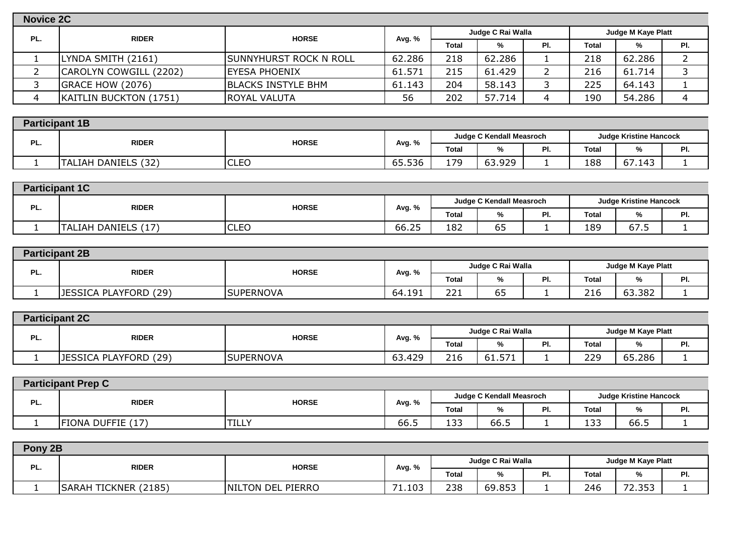| Novice 2C |                        |                               |        |       |                   |     |                    |        |     |  |
|-----------|------------------------|-------------------------------|--------|-------|-------------------|-----|--------------------|--------|-----|--|
| PL.       | <b>RIDER</b>           | <b>HORSE</b>                  | Avg. % |       | Judge C Rai Walla |     | Judge M Kaye Platt |        |     |  |
|           |                        |                               |        | Total | %                 | PI. | Total              | %      | PI. |  |
|           | LYNDA SMITH (2161)     | <b>SUNNYHURST ROCK N ROLL</b> | 62.286 | 218   | 62.286            |     | 218                | 62.286 |     |  |
|           | CAROLYN COWGILL (2202) | <b>EYESA PHOENIX</b>          | 61.571 | 215   | 61.429            |     | 216                | 61.714 |     |  |
|           | GRACE HOW (2076)       | <b>BLACKS INSTYLE BHM</b>     | 61.143 | 204   | 58.143            |     | 225                | 64.143 |     |  |
|           | KAITLIN BUCKTON (1751) | <b>IROYAL VALUTA</b>          | 56     | 202   | 57.714            |     | 190                | 54.286 |     |  |

|     | <b>Participant 1B</b>  |                              |        |       |                          |           |                               |        |     |  |  |
|-----|------------------------|------------------------------|--------|-------|--------------------------|-----------|-------------------------------|--------|-----|--|--|
| PL. | <b>RIDER</b>           | <b>HORSE</b>                 |        |       | Judge C Kendall Measroch |           | <b>Judge Kristine Hancock</b> |        |     |  |  |
|     |                        |                              | Avg. % | Total | %                        | ים<br>гι. | <b>Total</b>                  |        | . . |  |  |
|     | DANIELS (32)<br>ГALIAH | $\sim$ $\sim$<br><b>ULEU</b> | 65.536 | 170   | 63.929                   |           | 188                           | 67.143 |     |  |  |

|     | <b>Participant 1C</b> |              |        |       |                          |     |                               |             |     |  |  |
|-----|-----------------------|--------------|--------|-------|--------------------------|-----|-------------------------------|-------------|-----|--|--|
| PL. |                       | <b>HORSE</b> |        |       | Judge C Kendall Measroch |     | <b>Judge Kristine Hancock</b> |             |     |  |  |
|     | <b>RIDER</b>          |              | Avg. % | Total | %                        | PI. | <b>Total</b>                  | 7ο          | PI. |  |  |
|     | TALIAH DANIELS (17)   | <b>CLEO</b>  | 66.25  | 182   | --<br>ხჂ                 |     | 189                           | $-$<br>67.5 |     |  |  |

|     | <b>Participant 2B</b> |                  |        |                                         |          |     |                      |        |            |  |  |
|-----|-----------------------|------------------|--------|-----------------------------------------|----------|-----|----------------------|--------|------------|--|--|
| PL. | <b>RIDER</b>          | <b>HORSE</b>     | Avg. % | Judge C Rai Walla<br>Judge M Kaye Platt |          |     |                      |        |            |  |  |
|     |                       |                  |        | <b>Total</b>                            | %        | PI. | <b>Total</b>         | 70     | DI.<br>rı. |  |  |
|     | JESSICA PLAYFORD (29) | <b>SUPERNOVA</b> | 64.191 | <b>nn</b><br>∠∠⊥                        | --<br>כס |     | $\sim$ $\sim$<br>216 | 63.382 |            |  |  |

|     | <b>Participant 2C</b>        |                  |        |                   |                           |     |              |        |     |  |  |  |
|-----|------------------------------|------------------|--------|-------------------|---------------------------|-----|--------------|--------|-----|--|--|--|
| PL. | <b>RIDER</b><br><b>HORSE</b> |                  |        | Judge C Rai Walla | <b>Judge M Kaye Platt</b> |     |              |        |     |  |  |  |
|     |                              |                  | Avg. % | <b>Total</b>      | %                         | PI. | <b>Total</b> | %      | PI. |  |  |  |
|     | JESSICA PLAYFORD (29)        | <b>SUPERNOVA</b> | 63.429 | 216               | ピフ・<br>61.571             |     | 229          | 65.286 |     |  |  |  |

| <b>Participant Prep C</b> |                              |              |                          |                                |      |     |                               |              |     |  |
|---------------------------|------------------------------|--------------|--------------------------|--------------------------------|------|-----|-------------------------------|--------------|-----|--|
| PL.                       | <b>HORSE</b><br><b>RIDER</b> |              | Judge C Kendall Measroch |                                |      |     | <b>Judge Kristine Hancock</b> |              |     |  |
|                           |                              |              | Avg. %                   | Total                          | %    | PI. | <b>Total</b>                  | $\mathbf{a}$ | PI. |  |
|                           | FIONA DUFFIE (17)            | <b>TILLY</b> | 66.5                     | $\overline{\phantom{a}}$<br>∸~ | 66.5 |     | 133                           | 66.5         |     |  |

|     | Pony 2B                                  |                          |                                   |                   |                           |     |              |                                        |     |  |  |
|-----|------------------------------------------|--------------------------|-----------------------------------|-------------------|---------------------------|-----|--------------|----------------------------------------|-----|--|--|
| PL. | <b>RIDER</b>                             | <b>HORSE</b>             |                                   | Judge C Rai Walla | <b>Judge M Kaye Platt</b> |     |              |                                        |     |  |  |
|     |                                          |                          | Avg. %                            | <b>Total</b>      | %                         | PI. | <b>Total</b> | %                                      | PI. |  |  |
|     | (2185)<br><b>TICKNER</b><br><b>SARAH</b> | <b>NILTON DEL PIERRO</b> | 1.103<br>$\overline{\phantom{a}}$ | 238               | 69.853                    |     | 246          | ってっ<br>$\overline{\phantom{a}}$<br>ر ر |     |  |  |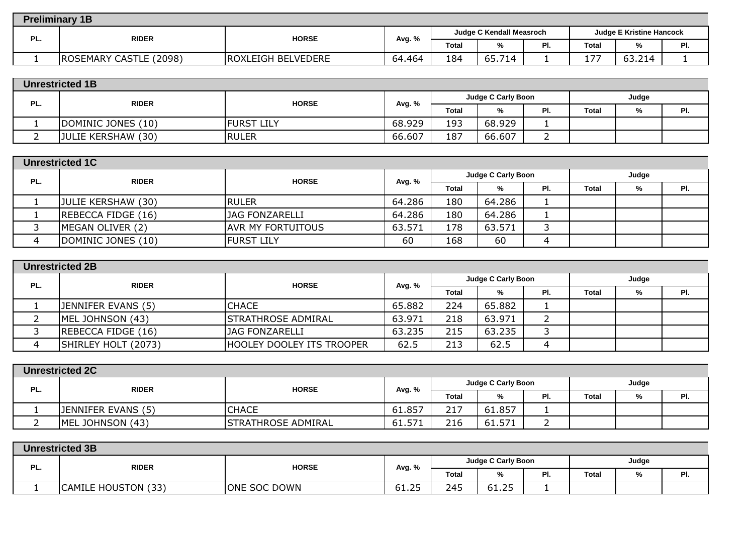|     | <b>Preliminary 1B</b>  |                           |        |              |                          |     |                                 |                                  |     |  |  |  |
|-----|------------------------|---------------------------|--------|--------------|--------------------------|-----|---------------------------------|----------------------------------|-----|--|--|--|
| PL. | <b>RIDER</b>           | <b>HORSE</b>              |        |              | Judge C Kendall Measroch |     | <b>Judge E Kristine Hancock</b> |                                  |     |  |  |  |
|     |                        |                           | Avg. % | <b>Total</b> | %                        | PI. | <b>Total</b>                    | %                                | PI. |  |  |  |
|     | ROSEMARY CASTLE (2098) | <b>ROXLEIGH BELVEDERE</b> | 64.464 | 184          | 65.714                   |     | $\overline{\phantom{a}}$        | $\sim$<br>714<br>63<br>◡◡ . ∠ ⊥⊤ |     |  |  |  |

| PL. | <b>RIDER</b>       | <b>HORSE</b>      |              | Judge C Carly Boon |        |       |   | Judge |  |
|-----|--------------------|-------------------|--------------|--------------------|--------|-------|---|-------|--|
|     |                    | Avg. %            | <b>Total</b> | %                  | PI.    | Total | % | PI.   |  |
|     | DOMINIC JONES (10) | <b>FURST LILY</b> | 68.929       | 193                | 68.929 |       |   |       |  |
|     | JULIE KERSHAW (30) | RULER             | 66.607       | 187                | 66.607 |       |   |       |  |

|     | <b>Unrestricted 1C</b> |                          |        |       |                    |     |       |       |     |  |  |
|-----|------------------------|--------------------------|--------|-------|--------------------|-----|-------|-------|-----|--|--|
| PL. | <b>RIDER</b>           | <b>HORSE</b>             | Avg. % |       | Judge C Carly Boon |     |       | Judge |     |  |  |
|     |                        |                          |        | Total | %                  | PI. | Total | %     | PI. |  |  |
|     | JULIE KERSHAW (30)     | <b>IRULER</b>            | 64.286 | 180   | 64.286             |     |       |       |     |  |  |
|     | REBECCA FIDGE (16)     | <b>JAG FONZARELLI</b>    | 64.286 | 180   | 64.286             |     |       |       |     |  |  |
|     | MEGAN OLIVER (2)       | <b>AVR MY FORTUITOUS</b> | 63.571 | 178   | 63.571             |     |       |       |     |  |  |
|     | DOMINIC JONES (10)     | <b>FURST LILY</b>        | 60     | 168   | 60                 |     |       |       |     |  |  |

|     | <b>Unrestricted 2B</b>    |                                  |        |              |                    |     |              |       |     |  |  |
|-----|---------------------------|----------------------------------|--------|--------------|--------------------|-----|--------------|-------|-----|--|--|
| PL. | <b>RIDER</b>              | <b>HORSE</b>                     | Avg. % |              | Judge C Carly Boon |     |              | Judge |     |  |  |
|     |                           |                                  |        | <b>Total</b> | %                  | PI. | <b>Total</b> | %     | PI. |  |  |
|     | <b>JENNIFER EVANS (5)</b> | <b>CHACE</b>                     | 65.882 | 224          | 65.882             |     |              |       |     |  |  |
|     | MEL JOHNSON (43)          | <b>STRATHROSE ADMIRAL</b>        | 63.971 | 218          | 63.971             |     |              |       |     |  |  |
|     | REBECCA FIDGE (16)        | <b>JAG FONZARELLI</b>            | 63.235 | 215          | 63.235             |     |              |       |     |  |  |
|     | SHIRLEY HOLT (2073)       | <b>HOOLEY DOOLEY ITS TROOPER</b> | 62.5   | 213          | 62.5               |     |              |       |     |  |  |

|     | <b>Unrestricted 2C</b>    |                           |        |              |                    |     |              |  |     |  |  |  |
|-----|---------------------------|---------------------------|--------|--------------|--------------------|-----|--------------|--|-----|--|--|--|
| PL. | <b>RIDER</b>              | <b>HORSE</b>              | Avg. % |              | Judge C Carly Boon |     | Judge        |  |     |  |  |  |
|     |                           |                           |        | <b>Total</b> | %                  | PI. | <b>Total</b> |  | PI. |  |  |  |
|     | <b>JENNIFER EVANS (5)</b> | <b>CHACE</b>              | 61.857 | 217          | 61.857             |     |              |  |     |  |  |  |
|     | MEL JOHNSON (43)          | <b>STRATHROSE ADMIRAL</b> | 61.571 | 216          | 61.571             |     |              |  |     |  |  |  |

|     | <b>Unrestricted 3B</b>        |                     |        |       |                    |     |              |   |           |  |  |  |
|-----|-------------------------------|---------------------|--------|-------|--------------------|-----|--------------|---|-----------|--|--|--|
|     | <b>RIDER</b>                  | <b>HORSE</b>        |        |       | Judge C Carly Boon |     | Judge        |   |           |  |  |  |
| PL. |                               |                     | Avg. % | Total | %                  | PI. | <b>Total</b> | % | ים<br>гι. |  |  |  |
|     | (33)<br><b>CAMILE HOUSTON</b> | <b>ONE SOC DOWN</b> | 61.25  | 245   | 61.25              |     |              |   |           |  |  |  |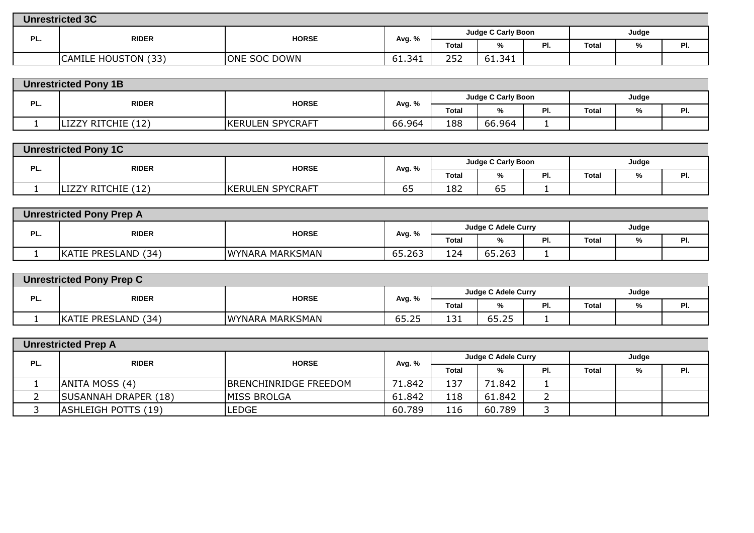|     | <b>Unrestricted 3C</b> |                     |        |                    |        |     |              |   |     |  |  |
|-----|------------------------|---------------------|--------|--------------------|--------|-----|--------------|---|-----|--|--|
| PL. | <b>RIDER</b>           | <b>HORSE</b>        |        | Judge C Carly Boon |        |     | Judge        |   |     |  |  |
|     |                        |                     | Avg. % | Total              | %      | PI. | <b>Total</b> | % | PI. |  |  |
|     | CAMILE HOUSTON (33)    | <b>ONE SOC DOWN</b> | 61.341 | 252<br>້           | 61.341 |     |              |   |     |  |  |

|     | <b>Unrestricted Pony 1B</b> |                         |        |                    |        |     |              |  |     |  |
|-----|-----------------------------|-------------------------|--------|--------------------|--------|-----|--------------|--|-----|--|
|     |                             | <b>HORSE</b>            |        | Judge C Carly Boon |        |     | Judge        |  |     |  |
| PL. | <b>RIDER</b>                |                         | Avg. % | <b>Total</b>       | %      | PI. | <b>Total</b> |  | . . |  |
|     | LIZZY RITCHIE (12)          | <b>KERULEN SPYCRAFT</b> | 66.964 | 188                | 66.964 |     |              |  |     |  |

|     | <b>Unrestricted Pony 1C</b> |                         |        |                    |            |     |              |   |     |  |  |  |
|-----|-----------------------------|-------------------------|--------|--------------------|------------|-----|--------------|---|-----|--|--|--|
| PL. | <b>RIDER</b>                | <b>HORSE</b>            |        | Judge C Carly Boon |            |     | Judge        |   |     |  |  |  |
|     |                             |                         | Avg. % | <b>Total</b>       | %          | PI. | <b>Total</b> | % | PI. |  |  |  |
|     | LIZZY RITCHIE (12)          | <b>KERULEN SPYCRAFT</b> | כס     | 182                | $ -$<br>כס |     |              |   |     |  |  |  |

|     | <b>Unrestricted Pony Prep A</b> |                        |        |                            |        |     |              |  |     |  |  |  |
|-----|---------------------------------|------------------------|--------|----------------------------|--------|-----|--------------|--|-----|--|--|--|
| PL. | <b>RIDER</b>                    | <b>HORSE</b>           |        | <b>Judge C Adele Curry</b> |        |     | Judge        |  |     |  |  |  |
|     |                                 |                        | Avg. % | <b>Total</b>               | %      | -۱. | <b>Total</b> |  | . . |  |  |  |
|     | KATIE PRESLAND (34)             | <b>WYNARA MARKSMAN</b> | 65.263 | 124                        | 65.263 |     |              |  |     |  |  |  |

| <b>Unrestricted Pony Prep C</b> |                     |                 |        |                     |       |     |       |   |       |  |
|---------------------------------|---------------------|-----------------|--------|---------------------|-------|-----|-------|---|-------|--|
| PL.                             | <b>RIDER</b>        | <b>HORSE</b>    | Avg. % | Judge C Adele Curry |       |     | Judge |   |       |  |
|                                 |                     |                 |        | <b>Total</b>        | %     | PI. | Total | % | D<br> |  |
|                                 | KATIE PRESLAND (34) | WYNARA MARKSMAN | 65.25  | 131                 | 65.25 |     |       |   |       |  |
|                                 |                     |                 |        |                     |       |     |       |   |       |  |

|     | <b>Unrestricted Prep A</b>  |                              |        |       |                     |     |              |   |     |  |  |
|-----|-----------------------------|------------------------------|--------|-------|---------------------|-----|--------------|---|-----|--|--|
| PL. | <b>RIDER</b>                | <b>HORSE</b>                 | Avg. % |       | Judge C Adele Curry |     | Judge        |   |     |  |  |
|     |                             |                              |        | Total | %                   | PI. | <b>Total</b> | % | PI. |  |  |
|     | ANITA MOSS (4)              | <b>BRENCHINRIDGE FREEDOM</b> | 71.842 | 137   | 71.842              |     |              |   |     |  |  |
|     | <b>SUSANNAH DRAPER (18)</b> | <b>MISS BROLGA</b>           | 61.842 | 118   | 61.842              |     |              |   |     |  |  |
|     | <b>ASHLEIGH POTTS (19)</b>  | LEDGE                        | 60.789 | 116   | 60.789              |     |              |   |     |  |  |